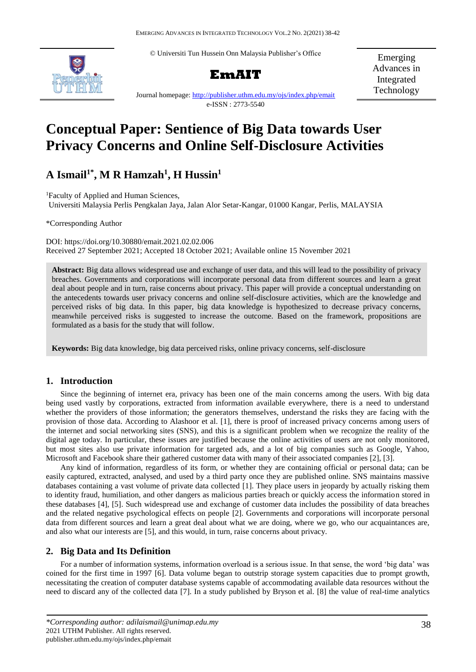© Universiti Tun Hussein Onn Malaysia Publisher's Office





Emerging Advances in Integrated Technology

Journal homepage:<http://publisher.uthm.edu.my/ojs/index.php/emait> e-ISSN : 2773-5540

# **Conceptual Paper: Sentience of Big Data towards User Privacy Concerns and Online Self-Disclosure Activities**

# **A Ismail1\* , M R Hamzah<sup>1</sup> , H Hussin<sup>1</sup>**

<sup>1</sup>Faculty of Applied and Human Sciences, Universiti Malaysia Perlis Pengkalan Jaya, Jalan Alor Setar-Kangar, 01000 Kangar, Perlis, MALAYSIA

\*Corresponding Author

DOI: https://doi.org/10.30880/emait.2021.02.02.006 Received 27 September 2021; Accepted 18 October 2021; Available online 15 November 2021

**Abstract:** Big data allows widespread use and exchange of user data, and this will lead to the possibility of privacy breaches. Governments and corporations will incorporate personal data from different sources and learn a great deal about people and in turn, raise concerns about privacy. This paper will provide a conceptual understanding on the antecedents towards user privacy concerns and online self-disclosure activities, which are the knowledge and perceived risks of big data. In this paper, big data knowledge is hypothesized to decrease privacy concerns, meanwhile perceived risks is suggested to increase the outcome. Based on the framework, propositions are formulated as a basis for the study that will follow.

**Keywords:** Big data knowledge, big data perceived risks, online privacy concerns, self-disclosure

# **1. Introduction**

Since the beginning of internet era, privacy has been one of the main concerns among the users. With big data being used vastly by corporations, extracted from information available everywhere, there is a need to understand whether the providers of those information; the generators themselves, understand the risks they are facing with the provision of those data. According to Alashoor et al. [1], there is proof of increased privacy concerns among users of the internet and social networking sites (SNS), and this is a significant problem when we recognize the reality of the digital age today. In particular, these issues are justified because the online activities of users are not only monitored, but most sites also use private information for targeted ads, and a lot of big companies such as Google, Yahoo, Microsoft and Facebook share their gathered customer data with many of their associated companies [2], [3].

Any kind of information, regardless of its form, or whether they are containing official or personal data; can be easily captured, extracted, analysed, and used by a third party once they are published online. SNS maintains massive databases containing a vast volume of private data collected [1]. They place users in jeopardy by actually risking them to identity fraud, humiliation, and other dangers as malicious parties breach or quickly access the information stored in these databases [4], [5]. Such widespread use and exchange of customer data includes the possibility of data breaches and the related negative psychological effects on people [2]. Governments and corporations will incorporate personal data from different sources and learn a great deal about what we are doing, where we go, who our acquaintances are, and also what our interests are [5], and this would, in turn, raise concerns about privacy.

# **2. Big Data and Its Definition**

For a number of information systems, information overload is a serious issue. In that sense, the word 'big data' was coined for the first time in 1997 [6]. Data volume began to outstrip storage system capacities due to prompt growth, necessitating the creation of computer database systems capable of accommodating available data resources without the need to discard any of the collected data [7]. In a study published by Bryson et al. [8] the value of real-time analytics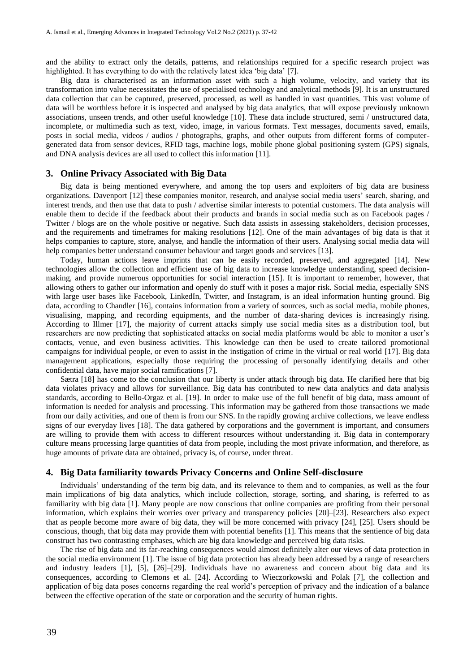and the ability to extract only the details, patterns, and relationships required for a specific research project was highlighted. It has everything to do with the relatively latest idea 'big data' [7].

Big data is characterised as an information asset with such a high volume, velocity, and variety that its transformation into value necessitates the use of specialised technology and analytical methods [9]. It is an unstructured data collection that can be captured, preserved, processed, as well as handled in vast quantities. This vast volume of data will be worthless before it is inspected and analysed by big data analytics, that will expose previously unknown associations, unseen trends, and other useful knowledge [10]. These data include structured, semi / unstructured data, incomplete, or multimedia such as text, video, image, in various formats. Text messages, documents saved, emails, posts in social media, videos / audios / photographs, graphs, and other outputs from different forms of computergenerated data from sensor devices, RFID tags, machine logs, mobile phone global positioning system (GPS) signals, and DNA analysis devices are all used to collect this information [11].

#### **3. Online Privacy Associated with Big Data**

Big data is being mentioned everywhere, and among the top users and exploiters of big data are business organizations. Davenport [12] these companies monitor, research, and analyse social media users' search, sharing, and interest trends, and then use that data to push / advertise similar interests to potential customers. The data analysis will enable them to decide if the feedback about their products and brands in social media such as on Facebook pages / Twitter / blogs are on the whole positive or negative. Such data assists in assessing stakeholders, decision processes, and the requirements and timeframes for making resolutions [12]. One of the main advantages of big data is that it helps companies to capture, store, analyse, and handle the information of their users. Analysing social media data will help companies better understand consumer behaviour and target goods and services [13].

Today, human actions leave imprints that can be easily recorded, preserved, and aggregated [14]. New technologies allow the collection and efficient use of big data to increase knowledge understanding, speed decisionmaking, and provide numerous opportunities for social interaction [15]. It is important to remember, however, that allowing others to gather our information and openly do stuff with it poses a major risk. Social media, especially SNS with large user bases like Facebook, LinkedIn, Twitter, and Instagram, is an ideal information hunting ground. Big data, according to Chandler [16], contains information from a variety of sources, such as social media, mobile phones, visualising, mapping, and recording equipments, and the number of data-sharing devices is increasingly rising. According to Illmer [17], the majority of current attacks simply use social media sites as a distribution tool, but researchers are now predicting that sophisticated attacks on social media platforms would be able to monitor a user's contacts, venue, and even business activities. This knowledge can then be used to create tailored promotional campaigns for individual people, or even to assist in the instigation of crime in the virtual or real world [17]. Big data management applications, especially those requiring the processing of personally identifying details and other confidential data, have major social ramifications [7].

Sætra [18] has come to the conclusion that our liberty is under attack through big data. He clarified here that big data violates privacy and allows for surveillance. Big data has contributed to new data analytics and data analysis standards, according to Bello-Orgaz et al. [19]. In order to make use of the full benefit of big data, mass amount of information is needed for analysis and processing. This information may be gathered from those transactions we made from our daily activities, and one of them is from our SNS. In the rapidly growing archive collections, we leave endless signs of our everyday lives [18]. The data gathered by corporations and the government is important, and consumers are willing to provide them with access to different resources without understanding it. Big data in contemporary culture means processing large quantities of data from people, including the most private information, and therefore, as huge amounts of private data are obtained, privacy is, of course, under threat.

#### **4. Big Data familiarity towards Privacy Concerns and Online Self-disclosure**

Individuals' understanding of the term big data, and its relevance to them and to companies, as well as the four main implications of big data analytics, which include collection, storage, sorting, and sharing, is referred to as familiarity with big data [1]. Many people are now conscious that online companies are profiting from their personal information, which explains their worries over privacy and transparency policies [20]–[23]. Researchers also expect that as people become more aware of big data, they will be more concerned with privacy [24], [25]. Users should be conscious, though, that big data may provide them with potential benefits [1]. This means that the sentience of big data construct has two contrasting emphases, which are big data knowledge and perceived big data risks.

The rise of big data and its far-reaching consequences would almost definitely alter our views of data protection in the social media environment [1]. The issue of big data protection has already been addressed by a range of researchers and industry leaders [1], [5], [26]–[29]. Individuals have no awareness and concern about big data and its consequences, according to Clemons et al. [24]. According to Wieczorkowski and Polak [7], the collection and application of big data poses concerns regarding the real world's perception of privacy and the indication of a balance between the effective operation of the state or corporation and the security of human rights.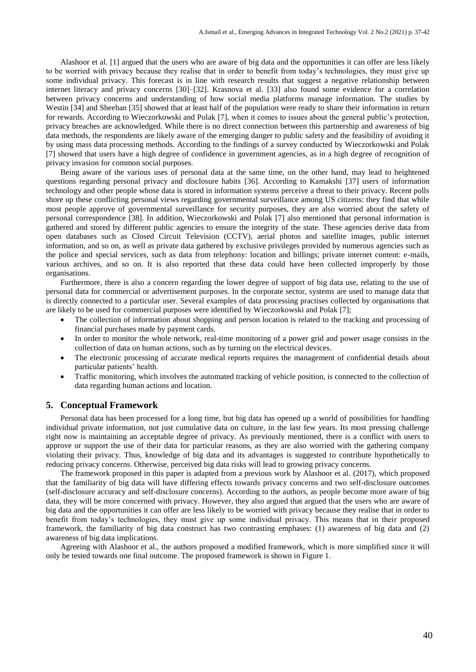Alashoor et al. [1] argued that the users who are aware of big data and the opportunities it can offer are less likely to be worried with privacy because they realise that in order to benefit from today's technologies, they must give up some individual privacy. This forecast is in line with research results that suggest a negative relationship between internet literacy and privacy concerns [30]–[32]. Krasnova et al. [33] also found some evidence for a correlation between privacy concerns and understanding of how social media platforms manage information. The studies by Westin [34] and Sheehan [35] showed that at least half of the population were ready to share their information in return for rewards. According to Wieczorkowski and Polak [7], when it comes to issues about the general public's protection, privacy breaches are acknowledged. While there is no direct connection between this partnership and awareness of big data methods, the respondents are likely aware of the emerging danger to public safety and the feasibility of avoiding it by using mass data processing methods. According to the findings of a survey conducted by Wieczorkowski and Polak [7] showed that users have a high degree of confidence in government agencies, as in a high degree of recognition of privacy invasion for common social purposes.

Being aware of the various uses of personal data at the same time, on the other hand, may lead to heightened questions regarding personal privacy and disclosure habits [36]. According to Kamakshi [37] users of information technology and other people whose data is stored in information systems perceive a threat to their privacy. Recent polls shore up these conflicting personal views regarding governmental surveillance among US citizens: they find that while most people approve of governmental surveillance for security purposes, they are also worried about the safety of personal correspondence [38]. In addition, Wieczorkowski and Polak [7] also mentioned that personal information is gathered and stored by different public agencies to ensure the integrity of the state. These agencies derive data from open databases such as Closed Circuit Television (CCTV), aerial photos and satellite images, public internet information, and so on, as well as private data gathered by exclusive privileges provided by numerous agencies such as the police and special services, such as data from telephony: location and billings; private internet content: e-mails, various archives, and so on. It is also reported that these data could have been collected improperly by those organisations.

Furthermore, there is also a concern regarding the lower degree of support of big data use, relating to the use of personal data for commercial or advertisement purposes. In the corporate sector, systems are used to manage data that is directly connected to a particular user. Several examples of data processing practises collected by organisations that are likely to be used for commercial purposes were identified by Wieczorkowski and Polak [7];

- The collection of information about shopping and person location is related to the tracking and processing of financial purchases made by payment cards.
- In order to monitor the whole network, real-time monitoring of a power grid and power usage consists in the collection of data on human actions, such as by turning on the electrical devices.
- The electronic processing of accurate medical reports requires the management of confidential details about particular patients' health.
- Traffic monitoring, which involves the automated tracking of vehicle position, is connected to the collection of data regarding human actions and location.

## **5. Conceptual Framework**

Personal data has been processed for a long time, but big data has opened up a world of possibilities for handling individual private information, not just cumulative data on culture, in the last few years. Its most pressing challenge right now is maintaining an acceptable degree of privacy. As previously mentioned, there is a conflict with users to approve or support the use of their data for particular reasons, as they are also worried with the gathering company violating their privacy. Thus, knowledge of big data and its advantages is suggested to contribute hypothetically to reducing privacy concerns. Otherwise, perceived big data risks will lead to growing privacy concerns.

The framework proposed in this paper is adapted from a previous work by Alashoor et al. (2017), which proposed that the familiarity of big data will have differing effects towards privacy concerns and two self-disclosure outcomes (self-disclosure accuracy and self-disclosure concerns). According to the authors, as people become more aware of big data, they will be more concerned with privacy. However, they also argued that argued that the users who are aware of big data and the opportunities it can offer are less likely to be worried with privacy because they realise that in order to benefit from today's technologies, they must give up some individual privacy. This means that in their proposed framework, the familiarity of big data construct has two contrasting emphases: (1) awareness of big data and (2) awareness of big data implications.

Agreeing with Alashoor et al., the authors proposed a modified framework, which is more simplified since it will only be tested towards one final outcome. The proposed framework is shown in Figure 1.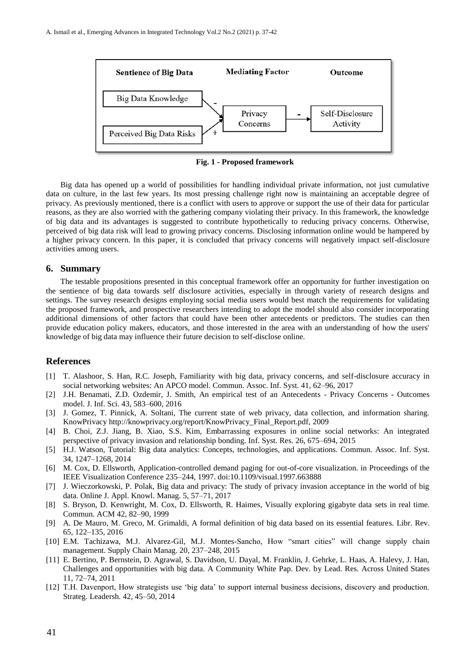

**Fig. 1 - Proposed framework**

Big data has opened up a world of possibilities for handling individual private information, not just cumulative data on culture, in the last few years. Its most pressing challenge right now is maintaining an acceptable degree of privacy. As previously mentioned, there is a conflict with users to approve or support the use of their data for particular reasons, as they are also worried with the gathering company violating their privacy. In this framework, the knowledge of big data and its advantages is suggested to contribute hypothetically to reducing privacy concerns. Otherwise, perceived of big data risk will lead to growing privacy concerns. Disclosing information online would be hampered by a higher privacy concern. In this paper, it is concluded that privacy concerns will negatively impact self-disclosure activities among users.

#### **6. Summary**

The testable propositions presented in this conceptual framework offer an opportunity for further investigation on the sentience of big data towards self disclosure activities, especially in through variety of research designs and settings. The survey research designs employing social media users would best match the requirements for validating the proposed framework, and prospective researchers intending to adopt the model should also consider incorporating additional dimensions of other factors that could have been other antecedents or predictors. The studies can then provide education policy makers, educators, and those interested in the area with an understanding of how the users' knowledge of big data may influence their future decision to self-disclose online.

## **References**

- [1] T. Alashoor, S. Han, R.C. Joseph, Familiarity with big data, privacy concerns, and self-disclosure accuracy in social networking websites: An APCO model. Commun. Assoc. Inf. Syst. 41, 62–96, 2017
- [2] J.H. Benamati, Z.D. Ozdemir, J. Smith, An empirical test of an Antecedents Privacy Concerns Outcomes model. J. Inf. Sci. 43, 583–600, 2016
- [3] J. Gomez, T. Pinnick, A. Soltani, The current state of web privacy, data collection, and information sharing. KnowPrivacy http://knowprivacy.org/report/KnowPrivacy\_Final\_Report.pdf, 2009
- [4] B. Choi, Z.J. Jiang, B. Xiao, S.S. Kim, Embarrassing exposures in online social networks: An integrated perspective of privacy invasion and relationship bonding. Inf. Syst. Res. 26, 675–694, 2015
- [5] H.J. Watson, Tutorial: Big data analytics: Concepts, technologies, and applications. Commun. Assoc. Inf. Syst. 34, 1247–1268, 2014
- [6] M. Cox, D. Ellsworth, Application-controlled demand paging for out-of-core visualization. in Proceedings of the IEEE Visualization Conference 235–244, 1997. doi:10.1109/visual.1997.663888
- [7] J. Wieczorkowski, P. Polak, Big data and privacy: The study of privacy invasion acceptance in the world of big data. Online J. Appl. Knowl. Manag. 5, 57–71, 2017
- [8] S. Bryson, D. Kenwright, M. Cox, D. Ellsworth, R. Haimes, Visually exploring gigabyte data sets in real time. Commun. ACM 42, 82–90, 1999
- [9] A. De Mauro, M. Greco, M. Grimaldi, A formal definition of big data based on its essential features. Libr. Rev. 65, 122–135, 2016
- [10] E.M. Tachizawa, M.J. Alvarez-Gil, M.J. Montes-Sancho, How "smart cities" will change supply chain management. Supply Chain Manag. 20, 237–248, 2015
- [11] E. Bertino, P. Bernstein, D. Agrawal, S. Davidson, U. Dayal, M. Franklin, J. Gehrke, L. Haas, A. Halevy, J. Han, Challenges and opportunities with big data. A Community White Pap. Dev. by Lead. Res. Across United States 11, 72–74, 2011
- [12] T.H. Davenport, How strategists use 'big data' to support internal business decisions, discovery and production. Strateg. Leadersh. 42, 45–50, 2014